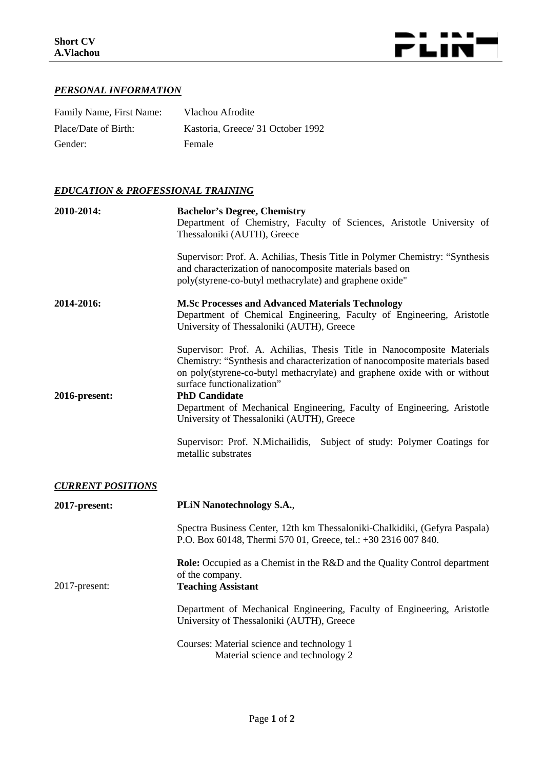

## *PERSONAL INFORMATION*

| Family Name, First Name: | Vlachou Afrodite                  |
|--------------------------|-----------------------------------|
| Place/Date of Birth:     | Kastoria, Greece/ 31 October 1992 |
| Gender:                  | Female                            |

## *EDUCATION & PROFESSIONAL TRAINING*

| 2010-2014:               | <b>Bachelor's Degree, Chemistry</b><br>Department of Chemistry, Faculty of Sciences, Aristotle University of<br>Thessaloniki (AUTH), Greece                                                                                                                                                                                                                         |
|--------------------------|---------------------------------------------------------------------------------------------------------------------------------------------------------------------------------------------------------------------------------------------------------------------------------------------------------------------------------------------------------------------|
|                          | Supervisor: Prof. A. Achilias, Thesis Title in Polymer Chemistry: "Synthesis<br>and characterization of nanocomposite materials based on<br>poly(styrene-co-butyl methacrylate) and graphene oxide"                                                                                                                                                                 |
| 2014-2016:               | <b>M.Sc Processes and Advanced Materials Technology</b><br>Department of Chemical Engineering, Faculty of Engineering, Aristotle<br>University of Thessaloniki (AUTH), Greece                                                                                                                                                                                       |
| 2016-present:            | Supervisor: Prof. A. Achilias, Thesis Title in Nanocomposite Materials<br>Chemistry: "Synthesis and characterization of nanocomposite materials based<br>on poly(styrene-co-butyl methacrylate) and graphene oxide with or without<br>surface functionalization"<br><b>PhD Candidate</b><br>Department of Mechanical Engineering, Faculty of Engineering, Aristotle |
|                          | University of Thessaloniki (AUTH), Greece<br>Supervisor: Prof. N.Michailidis, Subject of study: Polymer Coatings for<br>metallic substrates                                                                                                                                                                                                                         |
| <b>CURRENT POSITIONS</b> |                                                                                                                                                                                                                                                                                                                                                                     |
| 2017-present:            | <b>PLIN Nanotechnology S.A.,</b>                                                                                                                                                                                                                                                                                                                                    |
|                          | Spectra Business Center, 12th km Thessaloniki-Chalkidiki, (Gefyra Paspala)<br>P.O. Box 60148, Thermi 570 01, Greece, tel.: +30 2316 007 840.                                                                                                                                                                                                                        |
| 2017-present:            | <b>Role:</b> Occupied as a Chemist in the R&D and the Quality Control department<br>of the company.<br><b>Teaching Assistant</b>                                                                                                                                                                                                                                    |
|                          | Department of Mechanical Engineering, Faculty of Engineering, Aristotle<br>University of Thessaloniki (AUTH), Greece                                                                                                                                                                                                                                                |
|                          | Courses: Material science and technology 1<br>Material science and technology 2                                                                                                                                                                                                                                                                                     |